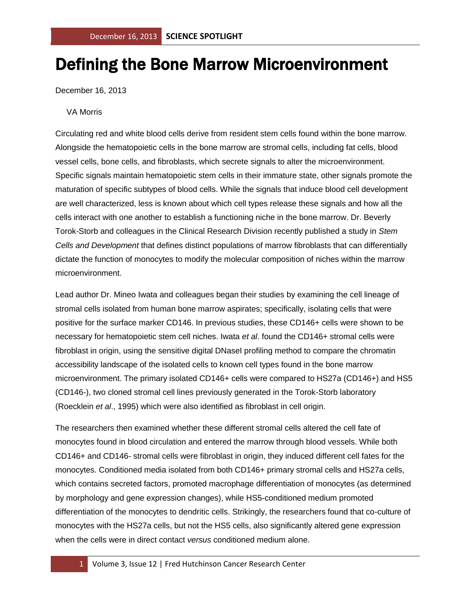## Defining the Bone Marrow Microenvironment

December 16, 2013

## VA Morris

Circulating red and white blood cells derive from resident stem cells found within the bone marrow. Alongside the hematopoietic cells in the bone marrow are stromal cells, including fat cells, blood vessel cells, bone cells, and fibroblasts, which secrete signals to alter the microenvironment. Specific signals maintain hematopoietic stem cells in their immature state, other signals promote the maturation of specific subtypes of blood cells. While the signals that induce blood cell development are well characterized, less is known about which cell types release these signals and how all the cells interact with one another to establish a functioning niche in the bone marrow. Dr. Beverly Torok-Storb and colleagues in the Clinical Research Division recently published a study in *Stem Cells and Development* that defines distinct populations of marrow fibroblasts that can differentially dictate the function of monocytes to modify the molecular composition of niches within the marrow microenvironment.

Lead author Dr. Mineo Iwata and colleagues began their studies by examining the cell lineage of stromal cells isolated from human bone marrow aspirates; specifically, isolating cells that were positive for the surface marker CD146. In previous studies, these CD146+ cells were shown to be necessary for hematopoietic stem cell niches. Iwata *et al*. found the CD146+ stromal cells were fibroblast in origin, using the sensitive digital DNasel profiling method to compare the chromatin accessibility landscape of the isolated cells to known cell types found in the bone marrow microenvironment. The primary isolated CD146+ cells were compared to HS27a (CD146+) and HS5 (CD146-), two cloned stromal cell lines previously generated in the Torok-Storb laboratory (Roecklein *et al*., 1995) which were also identified as fibroblast in cell origin.

The researchers then examined whether these different stromal cells altered the cell fate of monocytes found in blood circulation and entered the marrow through blood vessels. While both CD146+ and CD146- stromal cells were fibroblast in origin, they induced different cell fates for the monocytes. Conditioned media isolated from both CD146+ primary stromal cells and HS27a cells, which contains secreted factors, promoted macrophage differentiation of monocytes (as determined by morphology and gene expression changes), while HS5-conditioned medium promoted differentiation of the monocytes to dendritic cells. Strikingly, the researchers found that co-culture of monocytes with the HS27a cells, but not the HS5 cells, also significantly altered gene expression when the cells were in direct contact *versus* conditioned medium alone.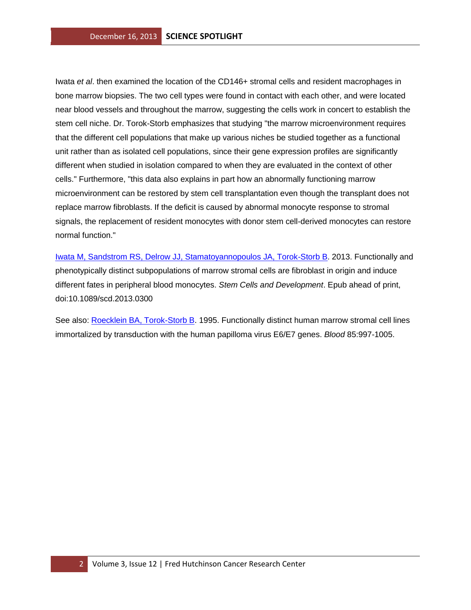Iwata *et al*. then examined the location of the CD146+ stromal cells and resident macrophages in bone marrow biopsies. The two cell types were found in contact with each other, and were located near blood vessels and throughout the marrow, suggesting the cells work in concert to establish the stem cell niche. Dr. Torok-Storb emphasizes that studying "the marrow microenvironment requires that the different cell populations that make up various niches be studied together as a functional unit rather than as isolated cell populations, since their gene expression profiles are significantly different when studied in isolation compared to when they are evaluated in the context of other cells." Furthermore, "this data also explains in part how an abnormally functioning marrow microenvironment can be restored by stem cell transplantation even though the transplant does not replace marrow fibroblasts. If the deficit is caused by abnormal monocyte response to stromal signals, the replacement of resident monocytes with donor stem cell-derived monocytes can restore normal function."

[Iwata M, Sandstrom RS, Delrow JJ, Stamatoyannopoulos JA, Torok-Storb B.](http://www.ncbi.nlm.nih.gov/pubmed/24131213?otool=fhcrclib) 2013. Functionally and phenotypically distinct subpopulations of marrow stromal cells are fibroblast in origin and induce different fates in peripheral blood monocytes. *Stem Cells and Development*. Epub ahead of print, doi:10.1089/scd.2013.0300

See also: [Roecklein BA, Torok-Storb B.](http://www.ncbi.nlm.nih.gov/pubmed/7849321?otool=fhcrclib) 1995. Functionally distinct human marrow stromal cell lines immortalized by transduction with the human papilloma virus E6/E7 genes. *Blood* 85:997-1005.